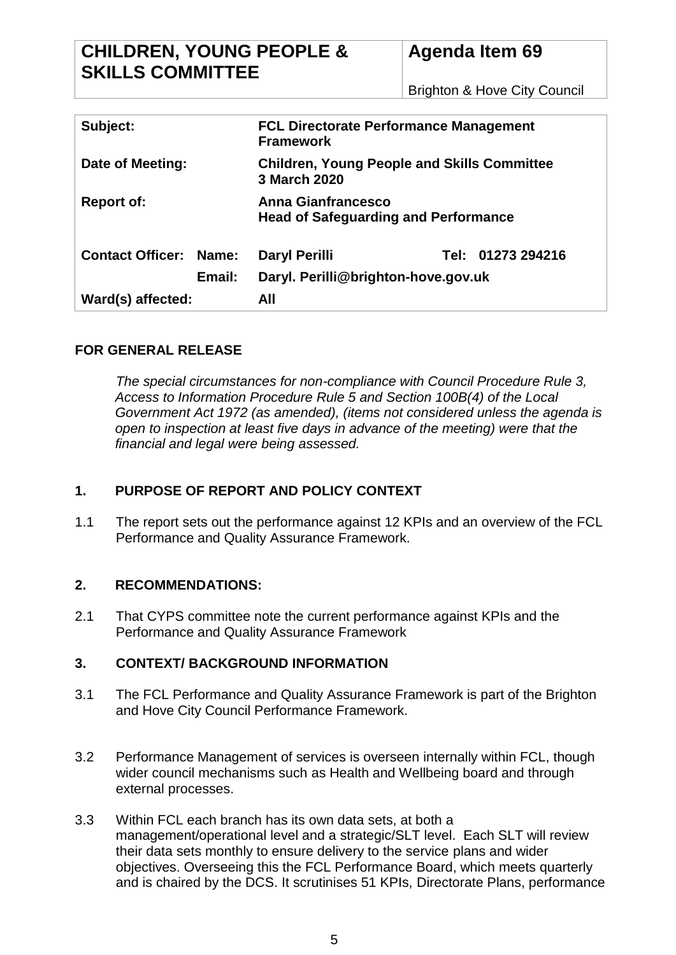Brighton & Hove City Council

| Subject:                      |        | <b>FCL Directorate Performance Management</b><br><b>Framework</b>        |  |                   |
|-------------------------------|--------|--------------------------------------------------------------------------|--|-------------------|
| Date of Meeting:              |        | <b>Children, Young People and Skills Committee</b><br>3 March 2020       |  |                   |
| <b>Report of:</b>             |        | <b>Anna Gianfrancesco</b><br><b>Head of Safeguarding and Performance</b> |  |                   |
| <b>Contact Officer: Name:</b> |        | Daryl Perilli                                                            |  | Tel: 01273 294216 |
|                               | Email: | Daryl. Perilli@brighton-hove.gov.uk                                      |  |                   |
| Ward(s) affected:             |        | All                                                                      |  |                   |

## **FOR GENERAL RELEASE**

*The special circumstances for non-compliance with Council Procedure Rule 3, Access to Information Procedure Rule 5 and Section 100B(4) of the Local Government Act 1972 (as amended), (items not considered unless the agenda is open to inspection at least five days in advance of the meeting) were that the financial and legal were being assessed.*

# **1. PURPOSE OF REPORT AND POLICY CONTEXT**

1.1 The report sets out the performance against 12 KPIs and an overview of the FCL Performance and Quality Assurance Framework.

## **2. RECOMMENDATIONS:**

2.1 That CYPS committee note the current performance against KPIs and the Performance and Quality Assurance Framework

## **3. CONTEXT/ BACKGROUND INFORMATION**

- 3.1 The FCL Performance and Quality Assurance Framework is part of the Brighton and Hove City Council Performance Framework.
- 3.2 Performance Management of services is overseen internally within FCL, though wider council mechanisms such as Health and Wellbeing board and through external processes.
- 3.3 Within FCL each branch has its own data sets, at both a management/operational level and a strategic/SLT level. Each SLT will review their data sets monthly to ensure delivery to the service plans and wider objectives. Overseeing this the FCL Performance Board, which meets quarterly and is chaired by the DCS. It scrutinises 51 KPIs, Directorate Plans, performance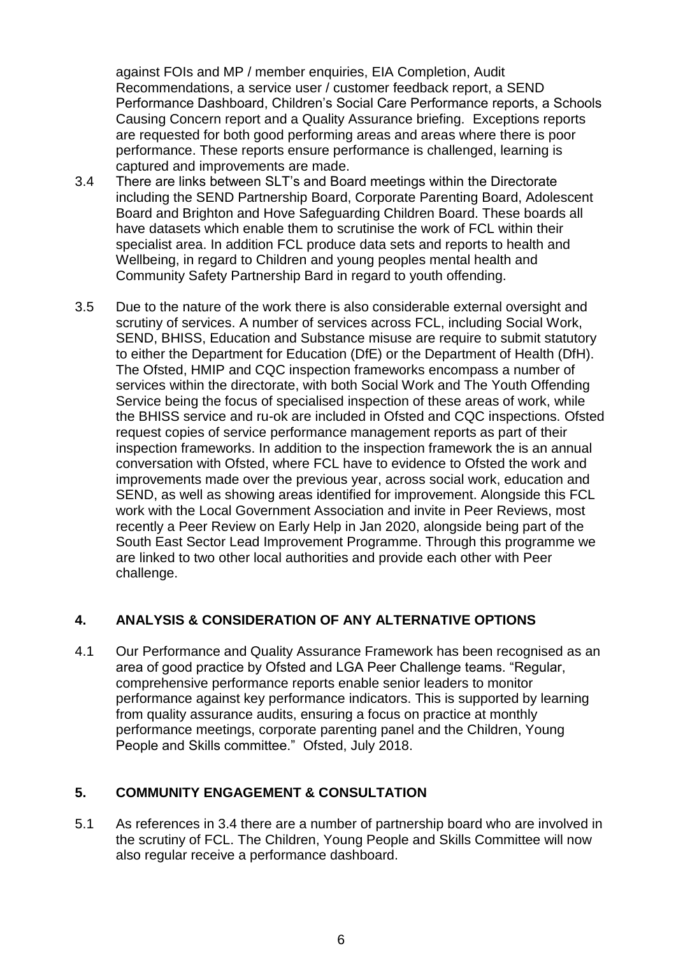against FOIs and MP / member enquiries, EIA Completion, Audit Recommendations, a service user / customer feedback report, a SEND Performance Dashboard, Children's Social Care Performance reports, a Schools Causing Concern report and a Quality Assurance briefing. Exceptions reports are requested for both good performing areas and areas where there is poor performance. These reports ensure performance is challenged, learning is captured and improvements are made.

- 3.4 There are links between SLT's and Board meetings within the Directorate including the SEND Partnership Board, Corporate Parenting Board, Adolescent Board and Brighton and Hove Safeguarding Children Board. These boards all have datasets which enable them to scrutinise the work of FCL within their specialist area. In addition FCL produce data sets and reports to health and Wellbeing, in regard to Children and young peoples mental health and Community Safety Partnership Bard in regard to youth offending.
- 3.5 Due to the nature of the work there is also considerable external oversight and scrutiny of services. A number of services across FCL, including Social Work, SEND, BHISS, Education and Substance misuse are require to submit statutory to either the Department for Education (DfE) or the Department of Health (DfH). The Ofsted, HMIP and CQC inspection frameworks encompass a number of services within the directorate, with both Social Work and The Youth Offending Service being the focus of specialised inspection of these areas of work, while the BHISS service and ru-ok are included in Ofsted and CQC inspections. Ofsted request copies of service performance management reports as part of their inspection frameworks. In addition to the inspection framework the is an annual conversation with Ofsted, where FCL have to evidence to Ofsted the work and improvements made over the previous year, across social work, education and SEND, as well as showing areas identified for improvement. Alongside this FCL work with the Local Government Association and invite in Peer Reviews, most recently a Peer Review on Early Help in Jan 2020, alongside being part of the South East Sector Lead Improvement Programme. Through this programme we are linked to two other local authorities and provide each other with Peer challenge.

## **4. ANALYSIS & CONSIDERATION OF ANY ALTERNATIVE OPTIONS**

4.1 Our Performance and Quality Assurance Framework has been recognised as an area of good practice by Ofsted and LGA Peer Challenge teams. "Regular, comprehensive performance reports enable senior leaders to monitor performance against key performance indicators. This is supported by learning from quality assurance audits, ensuring a focus on practice at monthly performance meetings, corporate parenting panel and the Children, Young People and Skills committee." Ofsted, July 2018.

# **5. COMMUNITY ENGAGEMENT & CONSULTATION**

5.1 As references in 3.4 there are a number of partnership board who are involved in the scrutiny of FCL. The Children, Young People and Skills Committee will now also regular receive a performance dashboard.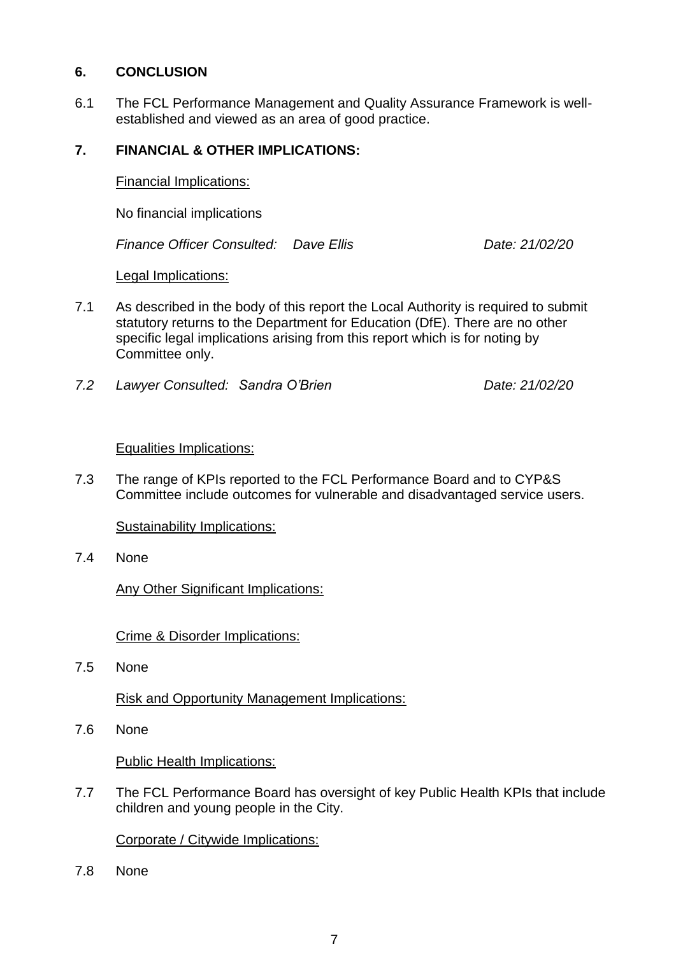#### **6. CONCLUSION**

6.1 The FCL Performance Management and Quality Assurance Framework is wellestablished and viewed as an area of good practice.

#### **7. FINANCIAL & OTHER IMPLICATIONS:**

Financial Implications:

No financial implications

*Finance Officer Consulted: Dave Ellis Date: 21/02/20*

#### Legal Implications:

- 7.1 As described in the body of this report the Local Authority is required to submit statutory returns to the Department for Education (DfE). There are no other specific legal implications arising from this report which is for noting by Committee only.
- *7.2 Lawyer Consulted: Sandra O'Brien Date: 21/02/20*

#### Equalities Implications:

7.3 The range of KPIs reported to the FCL Performance Board and to CYP&S Committee include outcomes for vulnerable and disadvantaged service users.

Sustainability Implications:

7.4 None

Any Other Significant Implications:

Crime & Disorder Implications:

7.5 None

Risk and Opportunity Management Implications:

7.6 None

Public Health Implications:

7.7 The FCL Performance Board has oversight of key Public Health KPIs that include children and young people in the City.

Corporate / Citywide Implications:

7.8 None